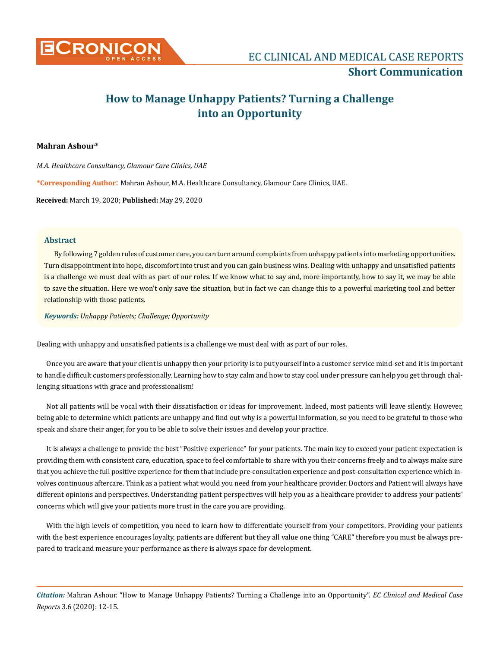

# **How to Manage Unhappy Patients? Turning a Challenge into an Opportunity**

## **Mahran Ashour\***

*M.A. Healthcare Consultancy, Glamour Care Clinics, UAE*

**\*Corresponding Author**: Mahran Ashour, M.A. Healthcare Consultancy, Glamour Care Clinics, UAE.

**Received:** March 19, 2020; **Published:** May 29, 2020

## **Abstract**

By following 7 golden rules of customer care, you can turn around complaints from unhappy patients into marketing opportunities. Turn disappointment into hope, discomfort into trust and you can gain business wins. Dealing with unhappy and unsatisfied patients is a challenge we must deal with as part of our roles. If we know what to say and, more importantly, how to say it, we may be able to save the situation. Here we won't only save the situation, but in fact we can change this to a powerful marketing tool and better relationship with those patients.

*Keywords: Unhappy Patients; Challenge; Opportunity*

Dealing with unhappy and unsatisfied patients is a challenge we must deal with as part of our roles.

Once you are aware that your client is unhappy then your priority is to put yourself into a customer service mind-set and it is important to handle difficult customers professionally. Learning [how to stay calm](https://www.mindtools.com/pages/article/newTCS_78.htm) and [how to stay cool under pressure](https://www.mindtools.com/pages/article/ThinkingonYourFeet.htm) can help you get through challenging situations with grace and professionalism!

Not all patients will be vocal with their dissatisfaction or ideas for improvement. Indeed, most patients will leave silently. However, being able to determine which patients are unhappy and find out why is a powerful information, so you need to be grateful to those who speak and share their anger, for you to be able to solve their issues and develop your practice.

It is always a challenge to provide the best "Positive experience" for your patients. The main key to exceed your patient expectation is providing them with consistent care, education, space to feel comfortable to share with you their concerns freely and to always make sure that you achieve the full positive experience for them that include pre-consultation experience and post-consultation experience which involves continuous aftercare. Think as a patient what would you need from your healthcare provider. Doctors and Patient will always have different opinions and perspectives. Understanding patient perspectives will help you as a healthcare provider to address your patients' concerns which will give your patients more trust in the care you are providing.

With the high levels of competition, you need to learn how to differentiate yourself from your competitors. Providing your patients with the best experience encourages loyalty, patients are different but they all value one thing "CARE" therefore you must be always prepared to track and measure your performance as there is always space for development.

*Citation:* Mahran Ashour. "How to Manage Unhappy Patients? Turning a Challenge into an Opportunity". *EC Clinical and Medical Case Reports* 3.6 (2020): 12-15.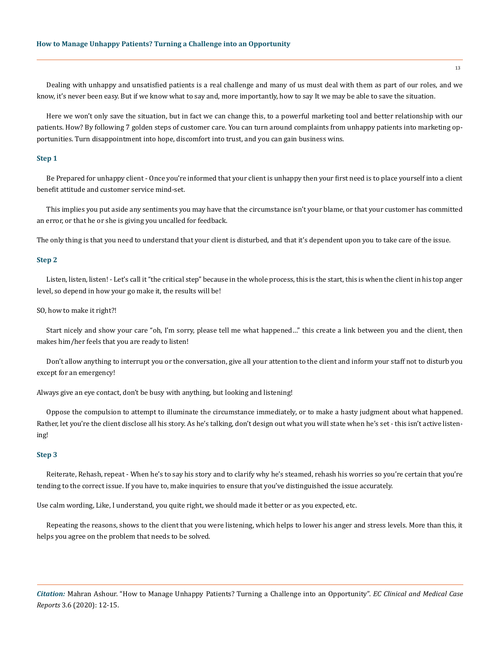Dealing with unhappy and unsatisfied patients is a real challenge and many of us must deal with them as part of our roles, and we know, it's never been easy. But if we know what to say and, more importantly, how to say It we may be able to save the situation.

Here we won't only save the situation, but in fact we can change this, to a powerful marketing tool and better relationship with our patients. How? By following 7 golden steps of customer care. You can turn around complaints from unhappy patients into marketing opportunities. Turn disappointment into hope, discomfort into trust, and you can gain business wins.

## **Step 1**

Be Prepared for unhappy client - Once you're informed that your client is unhappy then your first need is to place yourself into a client benefit attitude and customer service mind-set.

This implies you put aside any sentiments you may have that the circumstance isn't your blame, or that your customer has committed an error, or that he or she is giving you uncalled for feedback.

The only thing is that you need to understand that your client is disturbed, and that it's dependent upon you to take care of the issue.

#### **Step 2**

Listen, listen, listen! - Let's call it "the critical step" because in the whole process, this is the start, this is when the client in his top anger level, so depend in how your go make it, the results will be!

#### SO, how to make it right?!

Start nicely and show your care "oh, I'm sorry, please tell me what happened…" this create a link between you and the client, then makes him/her feels that you are ready to listen!

Don't allow anything to interrupt you or the conversation, give all your attention to the client and inform your staff not to disturb you except for an emergency!

Always give an eye contact, don't be busy with anything, but looking and listening!

Oppose the compulsion to attempt to illuminate the circumstance immediately, or to make a hasty judgment about what happened. Rather, let you're the client disclose all his story. As he's talking, don't design out what you will state when he's set - this isn't active listening!

#### **Step 3**

Reiterate, Rehash, repeat - When he's to say his story and to clarify why he's steamed, rehash his worries so you're certain that you're tending to the correct issue. If you have to, make inquiries to ensure that you've distinguished the issue accurately.

Use calm wording, Like, I understand, you quite right, we should made it better or as you expected, etc.

Repeating the reasons, shows to the client that you were listening, which helps to lower his anger and stress levels. More than this, it helps you agree on the problem that needs to be solved.

*Citation:* Mahran Ashour. "How to Manage Unhappy Patients? Turning a Challenge into an Opportunity". *EC Clinical and Medical Case Reports* 3.6 (2020): 12-15.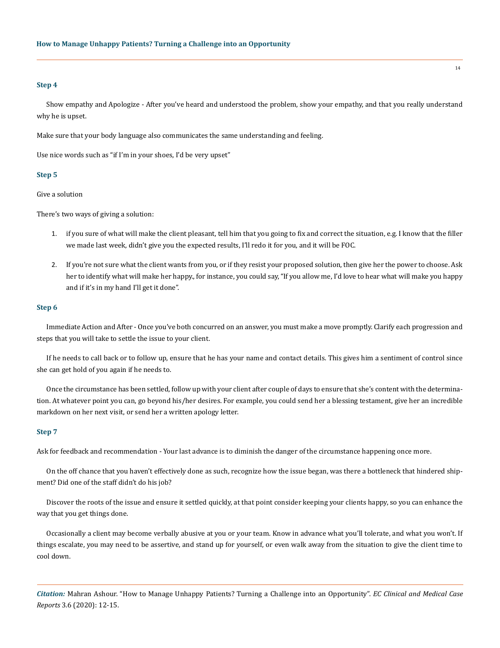## **Step 4**

Show empathy and Apologize - After you've heard and understood the problem, show your empathy, and that you really understand why he is upset.

Make sure that your body language also communicates the same understanding and feeling.

Use nice words such as "if I'm in your shoes, I'd be very upset"

## **Step 5**

Give a solution

There's two ways of giving a solution:

- 1. if you sure of what will make the client pleasant, tell him that you going to fix and correct the situation, e.g. I know that the filler we made last week, didn't give you the expected results, I'll redo it for you, and it will be FOC.
- 2. If you're not sure what the client wants from you, or if they resist your proposed solution, then give her the power to choose. Ask her to identify what will make her happy., for instance, you could say, "If you allow me, I'd love to hear what will make you happy and if it's in my hand I'll get it done".

#### **Step 6**

Immediate Action and After - Once you've both concurred on an answer, you must make a move promptly. Clarify each progression and steps that you will take to settle the issue to your client.

If he needs to call back or to follow up, ensure that he has your name and contact details. This gives him a sentiment of control since she can get hold of you again if he needs to.

Once the circumstance has been settled, follow up with your client after couple of days to ensure that she's content with the determination. At whatever point you can, go beyond his/her desires. For example, you could send her a blessing testament, give her an incredible markdown on her next visit, or send her a written apology letter.

## **Step 7**

Ask for feedback and recommendation - Your last advance is to diminish the danger of the circumstance happening once more.

On the off chance that you haven't effectively done as such, recognize how the issue began, was there a bottleneck that hindered shipment? Did one of the staff didn't do his job?

Discover the roots of the issue and ensure it settled quickly, at that point consider keeping your clients happy, so you can enhance the way that you get things done.

Occasionally a client may become verbally abusive at you or your team. Know in advance what you'll tolerate, and what you won't. If things escalate, you may need to be assertive, and stand up for yourself, or even walk away from the situation to give the client time to cool down.

*Citation:* Mahran Ashour. "How to Manage Unhappy Patients? Turning a Challenge into an Opportunity". *EC Clinical and Medical Case Reports* 3.6 (2020): 12-15.

14